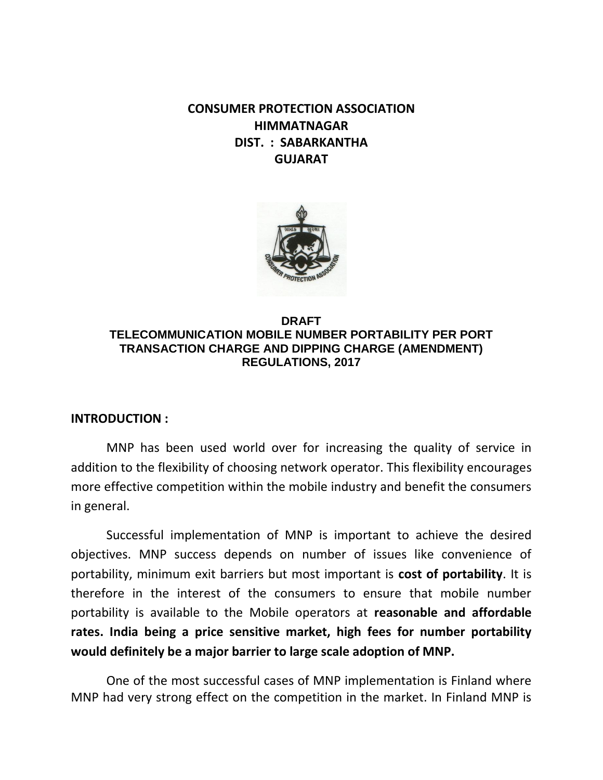**CONSUMER PROTECTION ASSOCIATION HIMMATNAGAR DIST. : SABARKANTHA GUJARAT**



## **DRAFT TELECOMMUNICATION MOBILE NUMBER PORTABILITY PER PORT TRANSACTION CHARGE AND DIPPING CHARGE (AMENDMENT) REGULATIONS, 2017**

## **INTRODUCTION :**

MNP has been used world over for increasing the quality of service in addition to the flexibility of choosing network operator. This flexibility encourages more effective competition within the mobile industry and benefit the consumers in general.

Successful implementation of MNP is important to achieve the desired objectives. MNP success depends on number of issues like convenience of portability, minimum exit barriers but most important is **cost of portability**. It is therefore in the interest of the consumers to ensure that mobile number portability is available to the Mobile operators at **reasonable and affordable rates. India being a price sensitive market, high fees for number portability would definitely be a major barrier to large scale adoption of MNP.**

One of the most successful cases of MNP implementation is Finland where MNP had very strong effect on the competition in the market. In Finland MNP is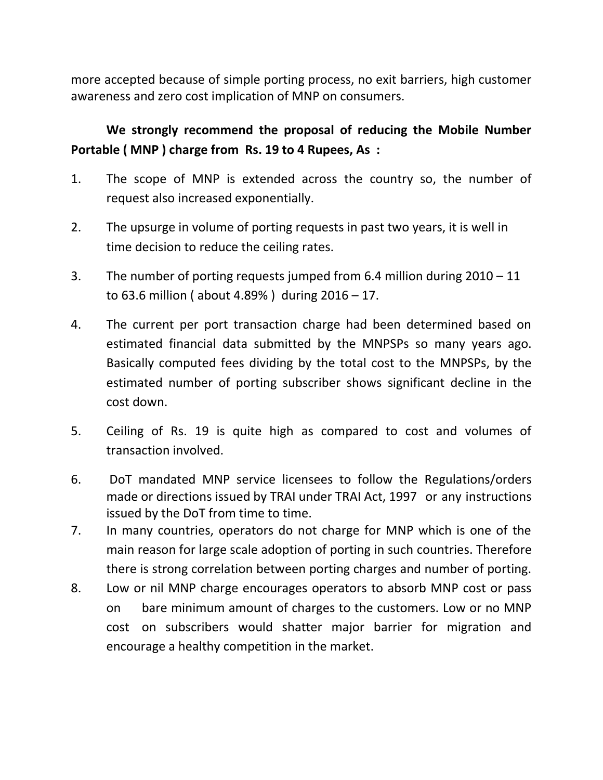more accepted because of simple porting process, no exit barriers, high customer awareness and zero cost implication of MNP on consumers.

## **We strongly recommend the proposal of reducing the Mobile Number Portable ( MNP ) charge from Rs. 19 to 4 Rupees, As :**

- 1. The scope of MNP is extended across the country so, the number of request also increased exponentially.
- 2. The upsurge in volume of porting requests in past two years, it is well in time decision to reduce the ceiling rates.
- 3. The number of porting requests jumped from 6.4 million during 2010 11 to 63.6 million ( about 4.89% ) during  $2016 - 17$ .
- 4. The current per port transaction charge had been determined based on estimated financial data submitted by the MNPSPs so many years ago. Basically computed fees dividing by the total cost to the MNPSPs, by the estimated number of porting subscriber shows significant decline in the cost down.
- 5. Ceiling of Rs. 19 is quite high as compared to cost and volumes of transaction involved.
- 6. DoT mandated MNP service licensees to follow the Regulations/orders made or directions issued by TRAI under TRAI Act, 1997 or any instructions issued by the DoT from time to time.
- 7. In many countries, operators do not charge for MNP which is one of the main reason for large scale adoption of porting in such countries. Therefore there is strong correlation between porting charges and number of porting.
- 8. Low or nil MNP charge encourages operators to absorb MNP cost or pass on bare minimum amount of charges to the customers. Low or no MNP cost on subscribers would shatter major barrier for migration and encourage a healthy competition in the market.